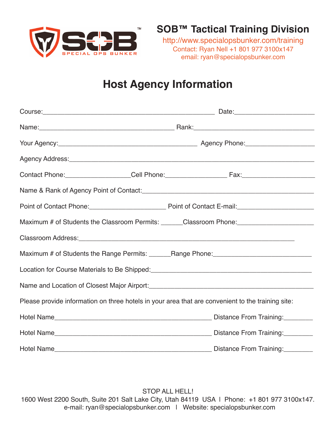

http://www.specialopsbunker.com/training Contact: Ryan Nell +1 801 977 3100x147 email: ryan@specialopsbunker.com

## **Host Agency Information**

| Agency Address: <u>Committee Committee and Committee Committee and Committee and Committee and Committee and Committee and Committee and Committee and Committee and Committee and Committee and Committee and Committee and Com</u> |                                                                                          |
|--------------------------------------------------------------------------------------------------------------------------------------------------------------------------------------------------------------------------------------|------------------------------------------------------------------------------------------|
|                                                                                                                                                                                                                                      |                                                                                          |
|                                                                                                                                                                                                                                      |                                                                                          |
|                                                                                                                                                                                                                                      |                                                                                          |
|                                                                                                                                                                                                                                      | Maximum # of Students the Classroom Permits: ______Classroom Phone: ____________________ |
| Classroom Address: No. 2006. The Classroom Address: No. 2006. The Classroom Address: No. 2007. The Classroom Address: No. 2007. The Classroom Address: No. 2007. The Classroom Address: No. 2007. The Classroom Address: No. 2       |                                                                                          |
|                                                                                                                                                                                                                                      | Maximum # of Students the Range Permits: _______Range Phone: ____________________        |
|                                                                                                                                                                                                                                      |                                                                                          |
|                                                                                                                                                                                                                                      |                                                                                          |
| Please provide information on three hotels in your area that are convenient to the training site:                                                                                                                                    |                                                                                          |
|                                                                                                                                                                                                                                      |                                                                                          |
|                                                                                                                                                                                                                                      |                                                                                          |
|                                                                                                                                                                                                                                      |                                                                                          |

STOP ALL HELL! 1600 West 2200 South, Suite 201 Salt Lake City, Utah 84119 USA | Phone: +1 801 977 3100x147. e-mail: ryan@specialopsbunker.com | Website: specialopsbunker.com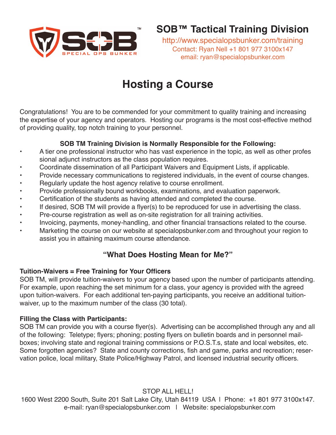

http://www.specialopsbunker.com/training Contact: Ryan Nell +1 801 977 3100x147 email: ryan@specialopsbunker.com

# **Hosting a Course**

Congratulations! You are to be commended for your commitment to quality training and increasing the expertise of your agency and operators. Hosting our programs is the most cost-effective method of providing quality, top notch training to your personnel.

### **SOB TM Training Division is Normally Responsible for the Following:**

- A tier one professional instructor who has vast experience in the topic, as well as other profes sional adjunct instructors as the class population requires.
- Coordinate dissemination of all Participant Waivers and Equipment Lists, if applicable.
- Provide necessary communications to registered individuals, in the event of course changes.
- Regularly update the host agency relative to course enrollment.
- Provide professionally bound workbooks, examinations, and evaluation paperwork.
- Certification of the students as having attended and completed the course.
- If desired, SOB TM will provide a flyer(s) to be reproduced for use in advertising the class.
- Pre-course registration as well as on-site registration for all training activities.
- Invoicing, payments, money-handling, and other financial transactions related to the course.
- Marketing the course on our website at specialopsbunker.com and throughout your region to assist you in attaining maximum course attendance.

## **"What Does Hosting Mean for Me?"**

## **Tuition-Waivers = Free Training for Your Officers**

SOB TM, will provide tuition-waivers to your agency based upon the number of participants attending. For example, upon reaching the set minimum for a class, your agency is provided with the agreed upon tuition-waivers. For each additional ten-paying participants, you receive an additional tuitionwaiver, up to the maximum number of the class (30 total).

#### **Filling the Class with Participants:**

SOB TM can provide you with a course flyer(s). Advertising can be accomplished through any and all of the following: Teletype; flyers; phoning; posting flyers on bulletin boards and in personnel mailboxes; involving state and regional training commissions or P.O.S.T.s, state and local websites, etc. Some forgotten agencies? State and county corrections, fish and game, parks and recreation; reservation police, local military, State Police/Highway Patrol, and licensed industrial security officers.

STOP ALL HELL!

1600 West 2200 South, Suite 201 Salt Lake City, Utah 84119 USA | Phone: +1 801 977 3100x147. e-mail: ryan@specialopsbunker.com | Website: specialopsbunker.com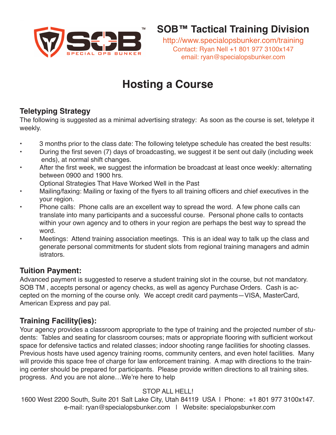

http://www.specialopsbunker.com/training Contact: Ryan Nell +1 801 977 3100x147 email: ryan@specialopsbunker.com

# **Hosting a Course**

## **Teletyping Strategy**

The following is suggested as a minimal advertising strategy: As soon as the course is set, teletype it weekly.

- 3 months prior to the class date: The following teletype schedule has created the best results:
- During the first seven (7) days of broadcasting, we suggest it be sent out daily (including week ends), at normal shift changes.
- After the first week, we suggest the information be broadcast at least once weekly: alternating between 0900 and 1900 hrs.
	- Optional Strategies That Have Worked Well in the Past
- Mailing/faxing: Mailing or faxing of the flyers to all training officers and chief executives in the your region.
- Phone calls: Phone calls are an excellent way to spread the word. A few phone calls can translate into many participants and a successful course. Personal phone calls to contacts within your own agency and to others in your region are perhaps the best way to spread the word.
- Meetings: Attend training association meetings. This is an ideal way to talk up the class and generate personal commitments for student slots from regional training managers and admin istrators.

## **Tuition Payment:**

Advanced payment is suggested to reserve a student training slot in the course, but not mandatory. SOB TM , accepts personal or agency checks, as well as agency Purchase Orders. Cash is accepted on the morning of the course only. We accept credit card payments—VISA, MasterCard, American Express and pay pal.

## **Training Facility(ies):**

Your agency provides a classroom appropriate to the type of training and the projected number of students: Tables and seating for classroom courses; mats or appropriate flooring with sufficient workout space for defensive tactics and related classes; indoor shooting range facilities for shooting classes. Previous hosts have used agency training rooms, community centers, and even hotel facilities. Many will provide this space free of charge for law enforcement training. A map with directions to the training center should be prepared for participants. Please provide written directions to all training sites. progress. And you are not alone…We're here to help

## STOP ALL HELL!

1600 West 2200 South, Suite 201 Salt Lake City, Utah 84119 USA | Phone: +1 801 977 3100x147. e-mail: ryan@specialopsbunker.com | Website: specialopsbunker.com